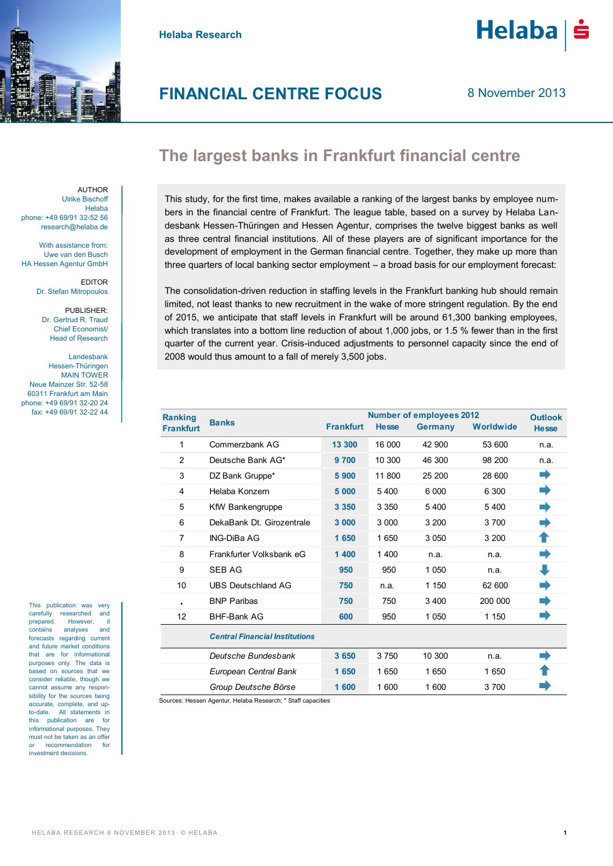

**Helaba Research**



**Helaba** 

## **The largest banks in Frankfurt financial centre**

AUTHOR Ulrike Bischoff Helaba phone: +49 69/91 32-52 56 research@helaba.de

With assistance from: Uwe van den Busch HA Hessen Agentur GmbH

> EDITOR Dr. Stefan Mitropoulos

PUBLISHER: Dr. Gertrud R. Traud Chief Economist/ Head of Research

Landesbank Hessen-Thüringen MAIN TOWER Neue Mainzer Str. 52-58 60311 Frankfurt am Main phone: +49 69/91 32-20 24 fax: +49 69/91 32-22 44

This publication was very carefully researched and prepared. However, it contains analyses and forecasts regarding current and future market conditions that are for informational purposes only. The data is based on sources that we consider reliable, though we cannot assume any responsibility for the sources being accurate, complete, and upto-date. All statements in this publication are for informational purposes. They must not be taken as an offer recommendation for investment decisions.

This study, for the first time, makes available a ranking of the largest banks by employee numbers in the financial centre of Frankfurt. The league table, based on a survey by Helaba Landesbank Hessen-Thüringen and Hessen Agentur, comprises the twelve biggest banks as well as three central financial institutions. All of these players are of significant importance for the development of employment in the German financial centre. Together, they make up more than three quarters of local banking sector employment – a broad basis for our employment forecast:

The consolidation-driven reduction in staffing levels in the Frankfurt banking hub should remain limited, not least thanks to new recruitment in the wake of more stringent regulation. By the end of 2015, we anticipate that staff levels in Frankfurt will be around 61,300 banking employees, which translates into a bottom line reduction of about 1,000 jobs, or 1.5 % fewer than in the first quarter of the current year. Crisis-induced adjustments to personnel capacity since the end of 2008 would thus amount to a fall of merely 3,500 jobs.

| <b>Ranking</b><br><b>Frankfurt</b> | <b>Banks</b>                          | <b>Frankfurt</b> | <b>Hesse</b> | <b>Number of employees 2012</b><br><b>Germany</b> | Worldwide | <b>Outlook</b><br><b>Hesse</b> |
|------------------------------------|---------------------------------------|------------------|--------------|---------------------------------------------------|-----------|--------------------------------|
| 1                                  | Commerzbank AG                        | 13 300           | 16 000       | 42 900                                            | 53 600    | n.a.                           |
| $\overline{2}$                     | Deutsche Bank AG*                     | 9 700            | 10 300       | 46 300                                            | 98 200    | n.a.                           |
| 3                                  | DZ Bank Gruppe*                       | 5900             | 11 800       | 25 200                                            | 28 600    |                                |
| 4                                  | Helaba Konzern                        | 5 000            | 5400         | 6 000                                             | 6 300     |                                |
| 5                                  | KfW Bankengruppe                      | 3 3 5 0          | 3 3 5 0      | 5400                                              | 5400      |                                |
| 6                                  | DekaBank Dt. Girozentrale             | 3 000            | 3 0 0 0      | 3 200                                             | 3700      |                                |
| 7                                  | <b>ING-DiBa AG</b>                    | 1650             | 1650         | 3 0 5 0                                           | 3 200     |                                |
| 8                                  | Frankfurter Volksbank eG              | 1 400            | 1400         | n.a.                                              | n.a.      |                                |
| 9                                  | <b>SEB AG</b>                         | 950              | 950          | 1 0 5 0                                           | n.a.      |                                |
| 10                                 | <b>UBS Deutschland AG</b>             | 750              | n.a.         | 1 1 5 0                                           | 62 600    |                                |
| $\blacksquare$                     | <b>BNP Paribas</b>                    | 750              | 750          | 3 4 0 0                                           | 200 000   |                                |
| 12                                 | <b>BHF-Bank AG</b>                    | 600              | 950          | 1 0 5 0                                           | 1 1 5 0   |                                |
|                                    | <b>Central Financial Institutions</b> |                  |              |                                                   |           |                                |
|                                    | Deutsche Bundesbank                   | 3 6 5 0          | 3750         | 10 300                                            | n.a.      |                                |
|                                    | European Central Bank                 | 1650             | 1650         | 1 650                                             | 1650      |                                |
|                                    | Group Deutsche Börse                  | 1600             | 1 600        | 1 600                                             | 3700      |                                |
|                                    |                                       |                  |              |                                                   |           |                                |

Sources: Hessen Agentur, Helaba Research; \* Staff capacities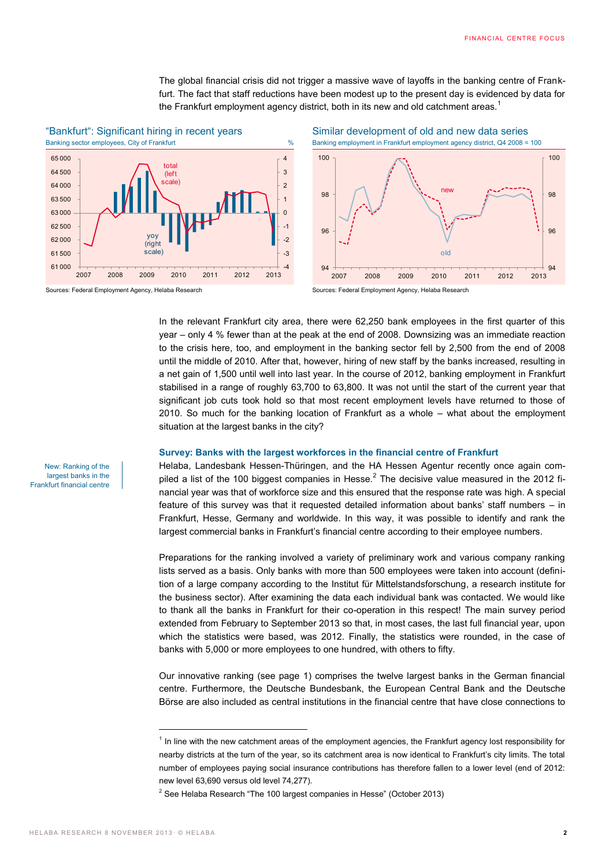The global financial crisis did not trigger a massive wave of layoffs in the banking centre of Frankfurt. The fact that staff reductions have been modest up to the present day is evidenced by data for the Frankfurt employment agency district, both in its new and old catchment areas.<sup>1</sup>



# "Bankfurt": Significant hiring in recent years<br>Banking sector employees. City of Frankfurt<br>Banking employment in Frankfurt employment agency district. Q4 2008 =

Sources: Federal Employment Agency, Helaba Research Sources: Federal Employment Agency, Helaba Research





In the relevant Frankfurt city area, there were 62,250 bank employees in the first quarter of this year – only 4 % fewer than at the peak at the end of 2008. Downsizing was an immediate reaction to the crisis here, too, and employment in the banking sector fell by 2,500 from the end of 2008 until the middle of 2010. After that, however, hiring of new staff by the banks increased, resulting in a net gain of 1,500 until well into last year. In the course of 2012, banking employment in Frankfurt stabilised in a range of roughly 63,700 to 63,800. It was not until the start of the current year that significant job cuts took hold so that most recent employment levels have returned to those of 2010. So much for the banking location of Frankfurt as a whole – what about the employment situation at the largest banks in the city?

#### **Survey: Banks with the largest workforces in the financial centre of Frankfurt**

Helaba, Landesbank Hessen-Thüringen, and the HA Hessen Agentur recently once again compiled a list of the 100 biggest companies in Hesse.<sup>2</sup> The decisive value measured in the 2012 financial year was that of workforce size and this ensured that the response rate was high. A special feature of this survey was that it requested detailed information about banks' staff numbers – in Frankfurt, Hesse, Germany and worldwide. In this way, it was possible to identify and rank the largest commercial banks in Frankfurt's financial centre according to their employee numbers.

Preparations for the ranking involved a variety of preliminary work and various company ranking lists served as a basis. Only banks with more than 500 employees were taken into account (definition of a large company according to the Institut für Mittelstandsforschung, a research institute for the business sector). After examining the data each individual bank was contacted. We would like to thank all the banks in Frankfurt for their co-operation in this respect! The main survey period extended from February to September 2013 so that, in most cases, the last full financial year, upon which the statistics were based, was 2012. Finally, the statistics were rounded, in the case of banks with 5,000 or more employees to one hundred, with others to fifty.

Our innovative ranking (see page 1) comprises the twelve largest banks in the German financial centre. Furthermore, the Deutsche Bundesbank, the European Central Bank and the Deutsche Börse are also included as central institutions in the financial centre that have close connections to

New: Ranking of the largest banks in the Frankfurt financial centre

 $\overline{a}$ 

<sup>&</sup>lt;sup>1</sup> In line with the new catchment areas of the employment agencies, the Frankfurt agency lost responsibility for nearby districts at the turn of the year, so its catchment area is now identical to Frankfurt's city limits. The total number of employees paying social insurance contributions has therefore fallen to a lower level (end of 2012: new level 63,690 versus old level 74,277).

 $2$  See Helaba Research "The 100 largest companies in Hesse" (October 2013)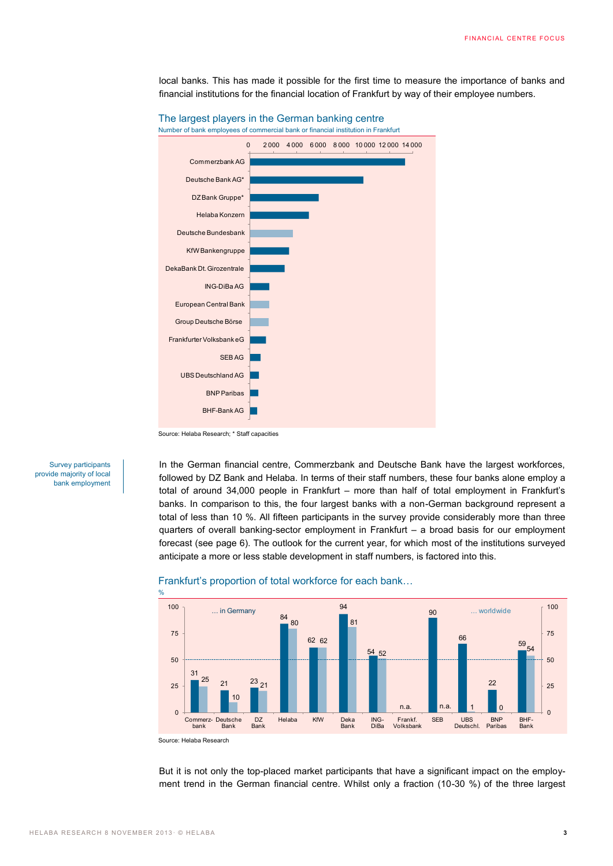local banks. This has made it possible for the first time to measure the importance of banks and financial institutions for the financial location of Frankfurt by way of their employee numbers.



The largest players in the German banking centre Number of bank employees of commercial bank or financial institution in Frankfurt

Source: Helaba Research; \* Staff capacities

Survey participants provide majority of local bank employment In the German financial centre, Commerzbank and Deutsche Bank have the largest workforces, followed by DZ Bank and Helaba. In terms of their staff numbers, these four banks alone employ a total of around 34,000 people in Frankfurt – more than half of total employment in Frankfurt's banks. In comparison to this, the four largest banks with a non-German background represent a total of less than 10 %. All fifteen participants in the survey provide considerably more than three quarters of overall banking-sector employment in Frankfurt – a broad basis for our employment forecast (see page 6). The outlook for the current year, for which most of the institutions surveyed anticipate a more or less stable development in staff numbers, is factored into this.



### Frankfurt's proportion of total workforce for each bank…

Source: Helaba Research

%

But it is not only the top-placed market participants that have a significant impact on the employment trend in the German financial centre. Whilst only a fraction (10-30 %) of the three largest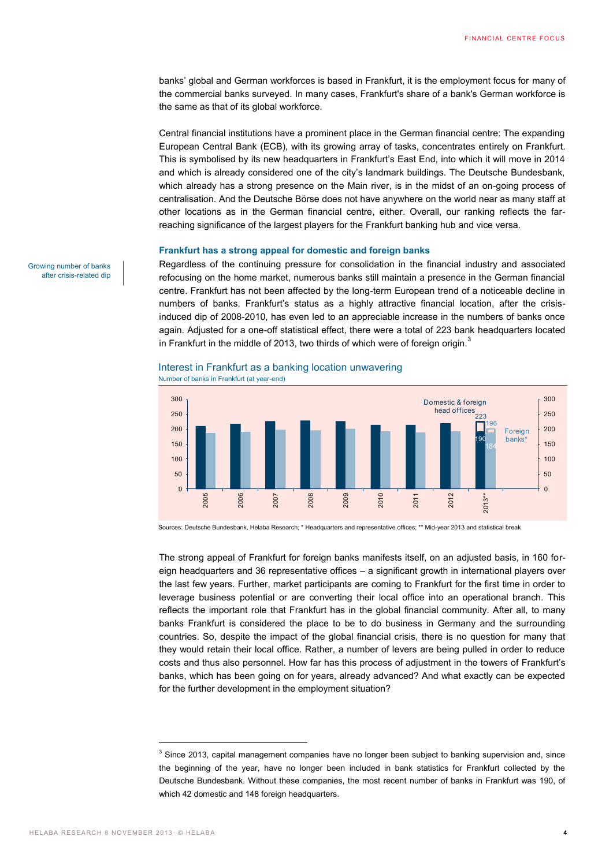banks' global and German workforces is based in Frankfurt, it is the employment focus for many of the commercial banks surveyed. In many cases, Frankfurt's share of a bank's German workforce is the same as that of its global workforce.

Central financial institutions have a prominent place in the German financial centre: The expanding European Central Bank (ECB), with its growing array of tasks, concentrates entirely on Frankfurt. This is symbolised by its new headquarters in Frankfurt's East End, into which it will move in 2014 and which is already considered one of the city's landmark buildings. The Deutsche Bundesbank, which already has a strong presence on the Main river, is in the midst of an on-going process of centralisation. And the Deutsche Börse does not have anywhere on the world near as many staff at other locations as in the German financial centre, either. Overall, our ranking reflects the farreaching significance of the largest players for the Frankfurt banking hub and vice versa.

#### **Frankfurt has a strong appeal for domestic and foreign banks**

Regardless of the continuing pressure for consolidation in the financial industry and associated refocusing on the home market, numerous banks still maintain a presence in the German financial centre. Frankfurt has not been affected by the long-term European trend of a noticeable decline in numbers of banks. Frankfurt's status as a highly attractive financial location, after the crisisinduced dip of 2008-2010, has even led to an appreciable increase in the numbers of banks once again. Adjusted for a one-off statistical effect, there were a total of 223 bank headquarters located in Frankfurt in the middle of 2013, two thirds of which were of foreign origin.<sup>3</sup>





Sources: Deutsche Bundesbank, Helaba Research; \* Headquarters and representative offices; \*\* Mid-year 2013 and statistical break

The strong appeal of Frankfurt for foreign banks manifests itself, on an adjusted basis, in 160 foreign headquarters and 36 representative offices – a significant growth in international players over the last few years. Further, market participants are coming to Frankfurt for the first time in order to leverage business potential or are converting their local office into an operational branch. This reflects the important role that Frankfurt has in the global financial community. After all, to many banks Frankfurt is considered the place to be to do business in Germany and the surrounding countries. So, despite the impact of the global financial crisis, there is no question for many that they would retain their local office. Rather, a number of levers are being pulled in order to reduce costs and thus also personnel. How far has this process of adjustment in the towers of Frankfurt's banks, which has been going on for years, already advanced? And what exactly can be expected for the further development in the employment situation?

Growing number of banks after crisis-related dip

 $\overline{a}$ 

 $3$  Since 2013, capital management companies have no longer been subject to banking supervision and, since the beginning of the year, have no longer been included in bank statistics for Frankfurt collected by the Deutsche Bundesbank. Without these companies, the most recent number of banks in Frankfurt was 190, of which 42 domestic and 148 foreign headquarters.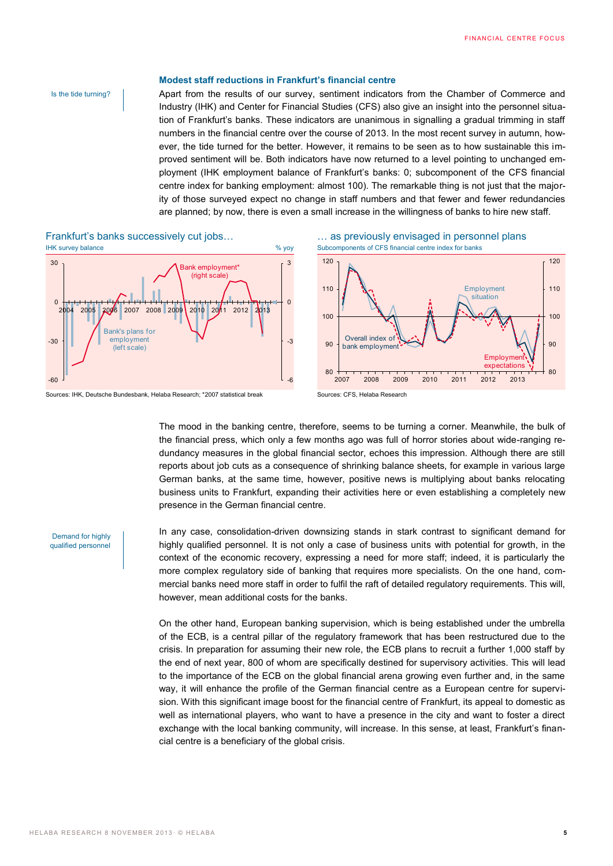#### Is the tide turning?

#### **Modest staff reductions in Frankfurt's financial centre**

Apart from the results of our survey, sentiment indicators from the Chamber of Commerce and Industry (IHK) and Center for Financial Studies (CFS) also give an insight into the personnel situation of Frankfurt's banks. These indicators are unanimous in signalling a gradual trimming in staff numbers in the financial centre over the course of 2013. In the most recent survey in autumn, however, the tide turned for the better. However, it remains to be seen as to how sustainable this improved sentiment will be. Both indicators have now returned to a level pointing to unchanged employment (IHK employment balance of Frankfurt's banks: 0; subcomponent of the CFS financial centre index for banking employment: almost 100). The remarkable thing is not just that the majority of those surveyed expect no change in staff numbers and that fewer and fewer redundancies are planned; by now, there is even a small increase in the willingness of banks to hire new staff.





Sources: IHK, Deutsche Bundesbank, Helaba Research; \*2007 statistical break Sources: CFS, Helaba Research

Frankfurt's banks successively cut jobs… … as previously envisaged in personnel plans



The mood in the banking centre, therefore, seems to be turning a corner. Meanwhile, the bulk of the financial press, which only a few months ago was full of horror stories about wide-ranging redundancy measures in the global financial sector, echoes this impression. Although there are still reports about job cuts as a consequence of shrinking balance sheets, for example in various large German banks, at the same time, however, positive news is multiplying about banks relocating business units to Frankfurt, expanding their activities here or even establishing a completely new presence in the German financial centre.

In any case, consolidation-driven downsizing stands in stark contrast to significant demand for highly qualified personnel. It is not only a case of business units with potential for growth, in the context of the economic recovery, expressing a need for more staff; indeed, it is particularly the more complex regulatory side of banking that requires more specialists. On the one hand, commercial banks need more staff in order to fulfil the raft of detailed regulatory requirements. This will, however, mean additional costs for the banks.

On the other hand, European banking supervision, which is being established under the umbrella of the ECB, is a central pillar of the regulatory framework that has been restructured due to the crisis. In preparation for assuming their new role, the ECB plans to recruit a further 1,000 staff by the end of next year, 800 of whom are specifically destined for supervisory activities. This will lead to the importance of the ECB on the global financial arena growing even further and, in the same way, it will enhance the profile of the German financial centre as a European centre for supervision. With this significant image boost for the financial centre of Frankfurt, its appeal to domestic as well as international players, who want to have a presence in the city and want to foster a direct exchange with the local banking community, will increase. In this sense, at least, Frankfurt's financial centre is a beneficiary of the global crisis.

Demand for highly qualified personnel